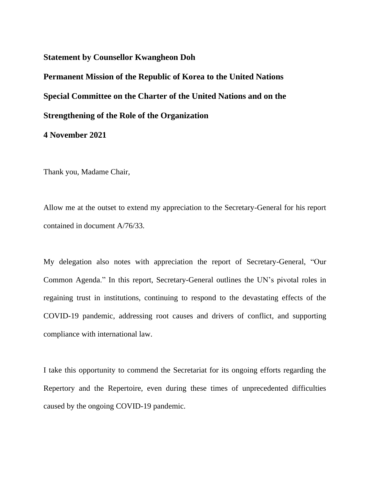## **Statement by Counsellor Kwangheon Doh**

**Permanent Mission of the Republic of Korea to the United Nations Special Committee on the Charter of the United Nations and on the Strengthening of the Role of the Organization**

## **4 November 2021**

Thank you, Madame Chair,

Allow me at the outset to extend my appreciation to the Secretary-General for his report contained in document A/76/33.

My delegation also notes with appreciation the report of Secretary-General, "Our Common Agenda." In this report, Secretary-General outlines the UN's pivotal roles in regaining trust in institutions, continuing to respond to the devastating effects of the COVID-19 pandemic, addressing root causes and drivers of conflict, and supporting compliance with international law.

I take this opportunity to commend the Secretariat for its ongoing efforts regarding the Repertory and the Repertoire, even during these times of unprecedented difficulties caused by the ongoing COVID-19 pandemic.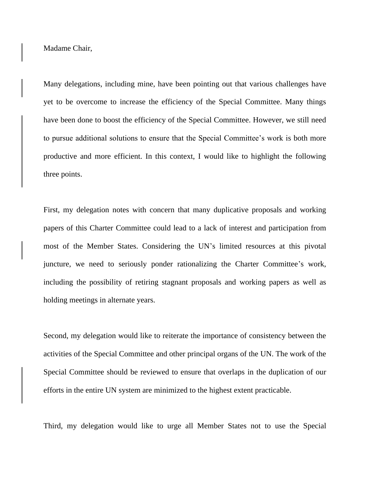Madame Chair,

Many delegations, including mine, have been pointing out that various challenges have yet to be overcome to increase the efficiency of the Special Committee. Many things have been done to boost the efficiency of the Special Committee. However, we still need to pursue additional solutions to ensure that the Special Committee's work is both more productive and more efficient. In this context, I would like to highlight the following three points.

First, my delegation notes with concern that many duplicative proposals and working papers of this Charter Committee could lead to a lack of interest and participation from most of the Member States. Considering the UN's limited resources at this pivotal juncture, we need to seriously ponder rationalizing the Charter Committee's work, including the possibility of retiring stagnant proposals and working papers as well as holding meetings in alternate years.

Second, my delegation would like to reiterate the importance of consistency between the activities of the Special Committee and other principal organs of the UN. The work of the Special Committee should be reviewed to ensure that overlaps in the duplication of our efforts in the entire UN system are minimized to the highest extent practicable.

Third, my delegation would like to urge all Member States not to use the Special